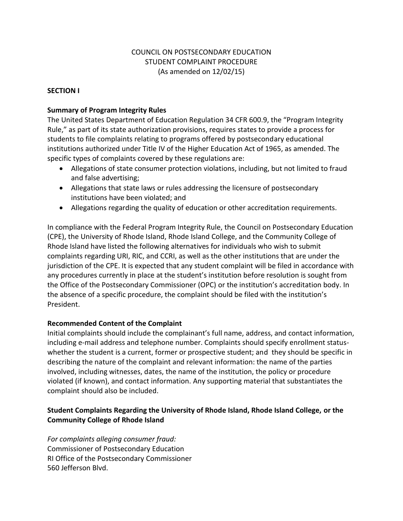# COUNCIL ON POSTSECONDARY EDUCATION STUDENT COMPLAINT PROCEDURE (As amended on 12/02/15)

## **SECTION I**

### **Summary of Program Integrity Rules**

The United States Department of Education Regulation 34 CFR 600.9, the "Program Integrity Rule," as part of its state authorization provisions, requires states to provide a process for students to file complaints relating to programs offered by postsecondary educational institutions authorized under Title IV of the Higher Education Act of 1965, as amended. The specific types of complaints covered by these regulations are:

- Allegations of state consumer protection violations, including, but not limited to fraud and false advertising;
- Allegations that state laws or rules addressing the licensure of postsecondary institutions have been violated; and
- Allegations regarding the quality of education or other accreditation requirements.

In compliance with the Federal Program Integrity Rule, the Council on Postsecondary Education (CPE), the University of Rhode Island, Rhode Island College, and the Community College of Rhode Island have listed the following alternatives for individuals who wish to submit complaints regarding URI, RIC, and CCRI, as well as the other institutions that are under the jurisdiction of the CPE. It is expected that any student complaint will be filed in accordance with any procedures currently in place at the student's institution before resolution is sought from the Office of the Postsecondary Commissioner (OPC) or the institution's accreditation body. In the absence of a specific procedure, the complaint should be filed with the institution's President.

### **Recommended Content of the Complaint**

Initial complaints should include the complainant's full name, address, and contact information, including e-mail address and telephone number. Complaints should specify enrollment statuswhether the student is a current, former or prospective student; and they should be specific in describing the nature of the complaint and relevant information: the name of the parties involved, including witnesses, dates, the name of the institution, the policy or procedure violated (if known), and contact information. Any supporting material that substantiates the complaint should also be included.

# **Student Complaints Regarding the University of Rhode Island, Rhode Island College, or the Community College of Rhode Island**

*For complaints alleging consumer fraud:* Commissioner of Postsecondary Education RI Office of the Postsecondary Commissioner 560 Jefferson Blvd.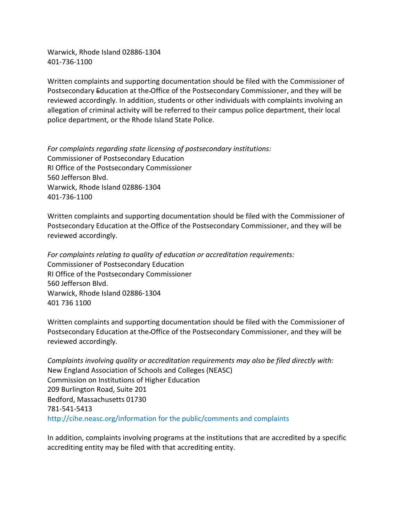Warwick, Rhode Island 02886-1304 401-736-1100

Written complaints and supporting documentation should be filed with the Commissioner of Postsecondary Education at the Office of the Postsecondary Commissioner, and they will be reviewed accordingly. In addition, students or other individuals with complaints involving an allegation of criminal activity will be referred to their campus police department, their local police department, or the Rhode Island State Police.

*For complaints regarding state licensing of postsecondary institutions:* Commissioner of Postsecondary Education RI Office of the Postsecondary Commissioner 560 Jefferson Blvd. Warwick, Rhode Island 02886-1304 401-736-1100

Written complaints and supporting documentation should be filed with the Commissioner of Postsecondary Education at the Office of the Postsecondary Commissioner, and they will be reviewed accordingly.

*For complaints relating to quality of education or accreditation requirements:* Commissioner of Postsecondary Education RI Office of the Postsecondary Commissioner 560 Jefferson Blvd. Warwick, Rhode Island 02886-1304 401 736 1100

Written complaints and supporting documentation should be filed with the Commissioner of Postsecondary Education at the Office of the Postsecondary Commissioner, and they will be reviewed accordingly.

*Complaints involving quality or accreditation requirements may also be filed directly with:* New England Association of Schools and Colleges (NEASC) Commission on Institutions of Higher Education 209 Burlington Road, Suite 201 Bedford, Massachusetts 01730 781-541-5413 <http://cihe.neasc.org/information> for the public/comments and complaints

In addition, complaints involving programs at the institutions that are accredited by a specific accrediting entity may be filed with that accrediting entity.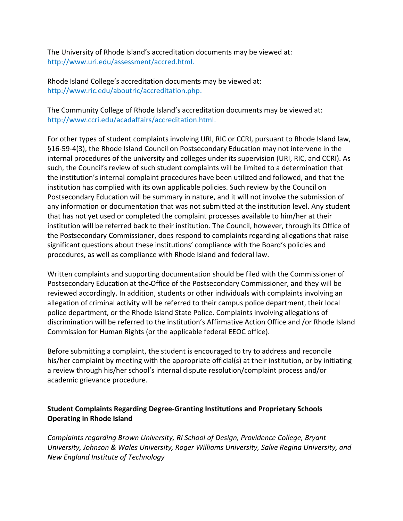The University of Rhode Island's accreditation documents may be viewed at: [http://www.uri.edu/assessment/accred.html.](http://www.uri.edu/assessment/accred.html)

Rhode Island College's accreditation documents may be viewed at: [http://www.ric.edu/aboutric/accreditation.php.](http://www.ric.edu/aboutric/accreditation.php)

The Community College of Rhode Island's accreditation documents may be viewed at: [http://www.ccri.edu/acadaffairs/accreditation.html.](http://www.ccri.edu/acadaffairs/accreditation.html)

For other types of student complaints involving URI, RIC or CCRI, pursuant to Rhode Island law, §16-59-4(3), the Rhode Island Council on Postsecondary Education may not intervene in the internal procedures of the university and colleges under its supervision (URI, RIC, and CCRI). As such, the Council's review of such student complaints will be limited to a determination that the institution's internal complaint procedures have been utilized and followed, and that the institution has complied with its own applicable policies. Such review by the Council on Postsecondary Education will be summary in nature, and it will not involve the submission of any information or documentation that was not submitted at the institution level. Any student that has not yet used or completed the complaint processes available to him/her at their institution will be referred back to their institution. The Council, however, through its Office of the Postsecondary Commissioner, does respond to complaints regarding allegations that raise significant questions about these institutions' compliance with the Board's policies and procedures, as well as compliance with Rhode Island and federal law.

Written complaints and supporting documentation should be filed with the Commissioner of Postsecondary Education at the Office of the Postsecondary Commissioner, and they will be reviewed accordingly. In addition, students or other individuals with complaints involving an allegation of criminal activity will be referred to their campus police department, their local police department, or the Rhode Island State Police. Complaints involving allegations of discrimination will be referred to the institution's Affirmative Action Office and /or Rhode Island Commission for Human Rights (or the applicable federal EEOC office).

Before submitting a complaint, the student is encouraged to try to address and reconcile his/her complaint by meeting with the appropriate official(s) at their institution, or by initiating a review through his/her school's internal dispute resolution/complaint process and/or academic grievance procedure.

# **Student Complaints Regarding Degree-Granting Institutions and Proprietary Schools Operating in Rhode Island**

*Complaints regarding Brown University, RI School of Design, Providence College, Bryant University, Johnson & Wales University, Roger Williams University, Salve Regina University, and New England Institute of Technology*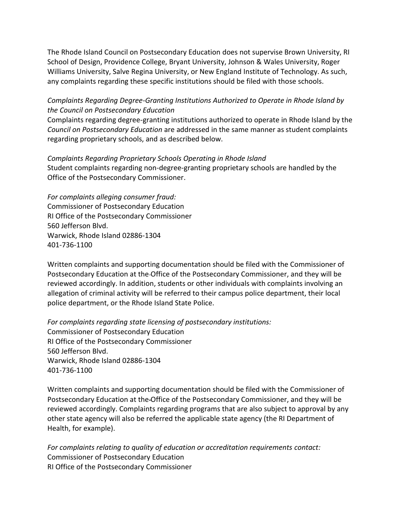The Rhode Island Council on Postsecondary Education does not supervise Brown University, RI School of Design, Providence College, Bryant University, Johnson & Wales University, Roger Williams University, Salve Regina University, or New England Institute of Technology. As such, any complaints regarding these specific institutions should be filed with those schools.

## *Complaints Regarding Degree-Granting Institutions Authorized to Operate in Rhode Island by the Council on Postsecondary Education*

Complaints regarding degree-granting institutions authorized to operate in Rhode Island by the *Council on Postsecondary Education* are addressed in the same manner as student complaints regarding proprietary schools, and as described below.

*Complaints Regarding Proprietary Schools Operating in Rhode Island* Student complaints regarding non-degree-granting proprietary schools are handled by the Office of the Postsecondary Commissioner.

*For complaints alleging consumer fraud:* Commissioner of Postsecondary Education RI Office of the Postsecondary Commissioner 560 Jefferson Blvd. Warwick, Rhode Island 02886-1304 401-736-1100

Written complaints and supporting documentation should be filed with the Commissioner of Postsecondary Education at the Office of the Postsecondary Commissioner, and they will be reviewed accordingly. In addition, students or other individuals with complaints involving an allegation of criminal activity will be referred to their campus police department, their local police department, or the Rhode Island State Police.

*For complaints regarding state licensing of postsecondary institutions:* Commissioner of Postsecondary Education RI Office of the Postsecondary Commissioner 560 Jefferson Blvd. Warwick, Rhode Island 02886-1304 401-736-1100

Written complaints and supporting documentation should be filed with the Commissioner of Postsecondary Education at the Office of the Postsecondary Commissioner, and they will be reviewed accordingly. Complaints regarding programs that are also subject to approval by any other state agency will also be referred the applicable state agency (the RI Department of Health, for example).

*For complaints relating to quality of education or accreditation requirements contact:* Commissioner of Postsecondary Education RI Office of the Postsecondary Commissioner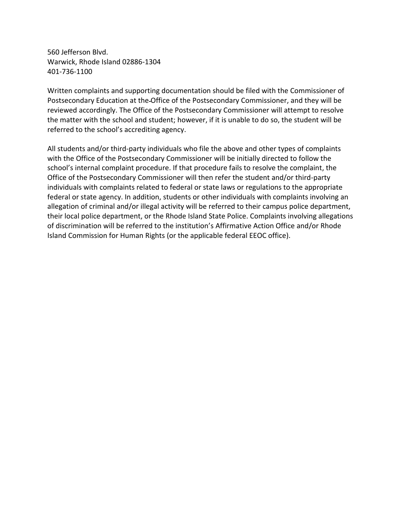560 Jefferson Blvd. Warwick, Rhode Island 02886-1304 401-736-1100

Written complaints and supporting documentation should be filed with the Commissioner of Postsecondary Education at the Office of the Postsecondary Commissioner, and they will be reviewed accordingly. The Office of the Postsecondary Commissioner will attempt to resolve the matter with the school and student; however, if it is unable to do so, the student will be referred to the school's accrediting agency.

All students and/or third-party individuals who file the above and other types of complaints with the Office of the Postsecondary Commissioner will be initially directed to follow the school's internal complaint procedure. If that procedure fails to resolve the complaint, the Office of the Postsecondary Commissioner will then refer the student and/or third-party individuals with complaints related to federal or state laws or regulations to the appropriate federal or state agency. In addition, students or other individuals with complaints involving an allegation of criminal and/or illegal activity will be referred to their campus police department, their local police department, or the Rhode Island State Police. Complaints involving allegations of discrimination will be referred to the institution's Affirmative Action Office and/or Rhode Island Commission for Human Rights (or the applicable federal EEOC office).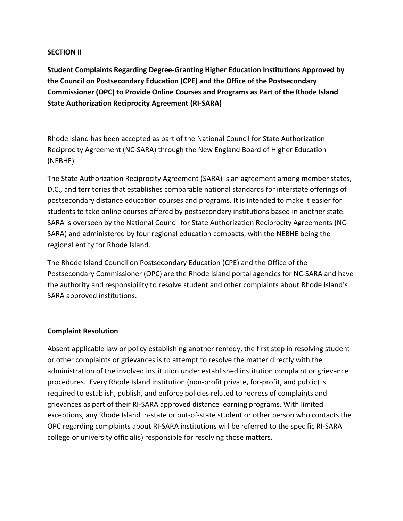### **SECTION II**

**Student Complaints Regarding Degree-Granting Higher Education Institutions Approved by the Council on Postsecondary Education (CPE) and the Office of the Postsecondary Commissioner (OPC) to Provide Online Courses and Programs as Part of the Rhode Island State Authorization Reciprocity Agreement (RI-SARA)**

Rhode Island has been accepted as part of the National Council for State Authorization Reciprocity Agreement (NC-SARA) through the New England Board of Higher Education (NEBHE).

The State Authorization Reciprocity Agreement (SARA) is an agreement among member states, D.C., and territories that establishes comparable national standards for interstate offerings of postsecondary distance education courses and programs. It is intended to make it easier for students to take online courses offered by postsecondary institutions based in another state. SARA is overseen by the National Council for State Authorization Reciprocity Agreements (NC-SARA) and administered by four regional education compacts, with the NEBHE being the regional entity for Rhode Island.

The Rhode Island Council on Postsecondary Education (CPE) and the Office of the Postsecondary Commissioner (OPC) are the Rhode Island portal agencies for NC-SARA and have the authority and responsibility to resolve student and other complaints about Rhode Island's SARA approved institutions.

### **Complaint Resolution**

Absent applicable law or policy establishing another remedy, the first step in resolving student or other complaints or grievances is to attempt to resolve the matter directly with the administration of the involved institution under established institution complaint or grievance procedures. Every Rhode Island institution (non-profit private, for-profit, and public) is required to establish, publish, and enforce policies related to redress of complaints and grievances as part of their RI-SARA approved distance learning programs. With limited exceptions, any Rhode Island in-state or out-of-state student or other person who contacts the OPC regarding complaints about RI-SARA institutions will be referred to the specific RI-SARA college or university official(s) responsible for resolving those matters.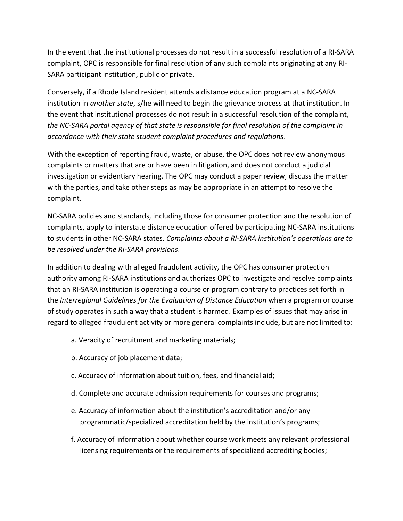In the event that the institutional processes do not result in a successful resolution of a RI-SARA complaint, OPC is responsible for final resolution of any such complaints originating at any RI-SARA participant institution, public or private.

Conversely, if a Rhode Island resident attends a distance education program at a NC-SARA institution in *another state*, s/he will need to begin the grievance process at that institution. In the event that institutional processes do not result in a successful resolution of the complaint, *the NC-SARA portal agency of that state is responsible for final resolution of the complaint in accordance with their state student complaint procedures and regulations*.

With the exception of reporting fraud, waste, or abuse, the OPC does not review anonymous complaints or matters that are or have been in litigation, and does not conduct a judicial investigation or evidentiary hearing. The OPC may conduct a paper review, discuss the matter with the parties, and take other steps as may be appropriate in an attempt to resolve the complaint.

NC-SARA policies and standards, including those for consumer protection and the resolution of complaints, apply to interstate distance education offered by participating NC-SARA institutions to students in other NC-SARA states. *Complaints about a RI-SARA institution's operations are to be resolved under the RI-SARA provisions*.

In addition to dealing with alleged fraudulent activity, the OPC has consumer protection authority among RI-SARA institutions and authorizes OPC to investigate and resolve complaints that an RI-SARA institution is operating a course or program contrary to practices set forth in the *Interregional Guidelines for the Evaluation of Distance Education* when a program or course of study operates in such a way that a student is harmed. Examples of issues that may arise in regard to alleged fraudulent activity or more general complaints include, but are not limited to:

- a. Veracity of recruitment and marketing materials;
- b. Accuracy of job placement data;
- c. Accuracy of information about tuition, fees, and financial aid;
- d. Complete and accurate admission requirements for courses and programs;
- e. Accuracy of information about the institution's accreditation and/or any programmatic/specialized accreditation held by the institution's programs;
- f. Accuracy of information about whether course work meets any relevant professional licensing requirements or the requirements of specialized accrediting bodies;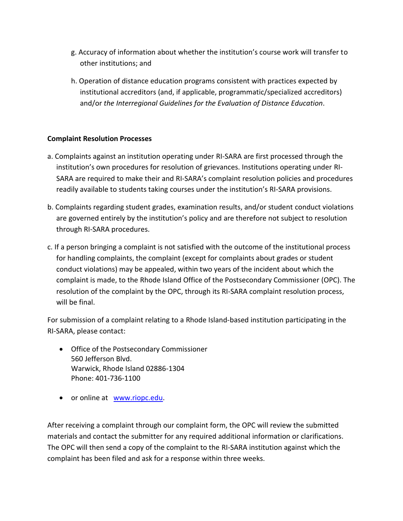- g. Accuracy of information about whether the institution's course work will transfer to other institutions; and
- h. Operation of distance education programs consistent with practices expected by institutional accreditors (and, if applicable, programmatic/specialized accreditors) and/or *the Interregional Guidelines for the Evaluation of Distance Education*.

# **Complaint Resolution Processes**

- a. Complaints against an institution operating under RI-SARA are first processed through the institution's own procedures for resolution of grievances. Institutions operating under RI-SARA are required to make their and RI-SARA's complaint resolution policies and procedures readily available to students taking courses under the institution's RI-SARA provisions.
- b. Complaints regarding student grades, examination results, and/or student conduct violations are governed entirely by the institution's policy and are therefore not subject to resolution through RI-SARA procedures.
- c. If a person bringing a complaint is not satisfied with the outcome of the institutional process for handling complaints, the complaint (except for complaints about grades or student conduct violations) may be appealed, within two years of the incident about which the complaint is made, to the Rhode Island Office of the Postsecondary Commissioner (OPC). The resolution of the complaint by the OPC, through its RI-SARA complaint resolution process, will be final.

For submission of a complaint relating to a Rhode Island-based institution participating in the RI-SARA, please contact:

- Office of the Postsecondary Commissioner 560 Jefferson Blvd. Warwick, Rhode Island 02886-1304 Phone: 401-736-1100
- or online at [www.riopc.edu.](http://www.riopc.edu/)

After receiving a complaint through our complaint form, the OPC will review the submitted materials and contact the submitter for any required additional information or clarifications. The OPC will then send a copy of the complaint to the RI-SARA institution against which the complaint has been filed and ask for a response within three weeks.